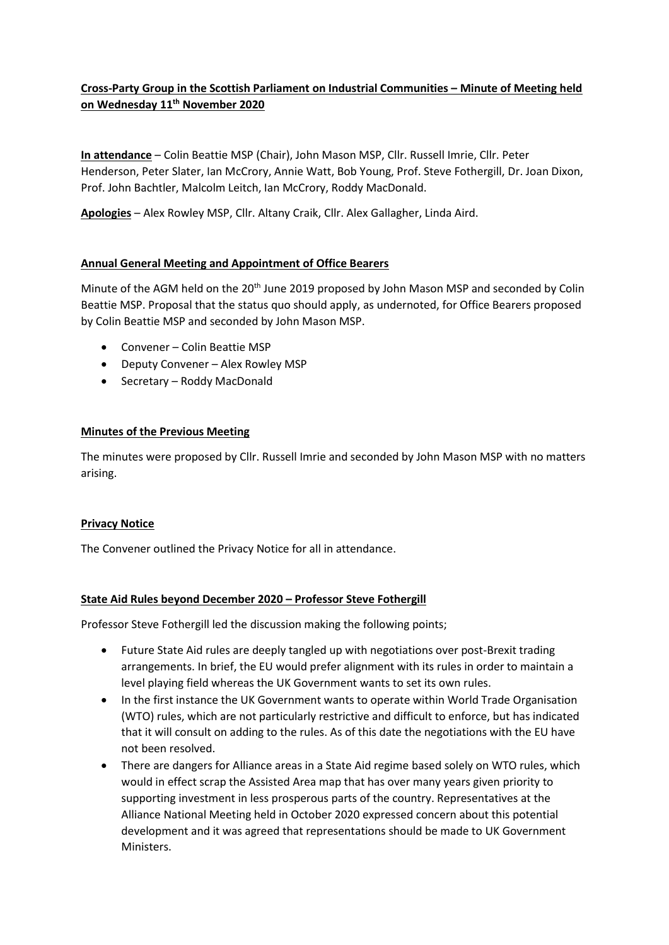# **Cross-Party Group in the Scottish Parliament on Industrial Communities – Minute of Meeting held on Wednesday 11th November 2020**

**In attendance** – Colin Beattie MSP (Chair), John Mason MSP, Cllr. Russell Imrie, Cllr. Peter Henderson, Peter Slater, Ian McCrory, Annie Watt, Bob Young, Prof. Steve Fothergill, Dr. Joan Dixon, Prof. John Bachtler, Malcolm Leitch, Ian McCrory, Roddy MacDonald.

**Apologies** – Alex Rowley MSP, Cllr. Altany Craik, Cllr. Alex Gallagher, Linda Aird.

### **Annual General Meeting and Appointment of Office Bearers**

Minute of the AGM held on the 20<sup>th</sup> June 2019 proposed by John Mason MSP and seconded by Colin Beattie MSP. Proposal that the status quo should apply, as undernoted, for Office Bearers proposed by Colin Beattie MSP and seconded by John Mason MSP.

- Convener Colin Beattie MSP
- Deputy Convener Alex Rowley MSP
- Secretary Roddy MacDonald

### **Minutes of the Previous Meeting**

The minutes were proposed by Cllr. Russell Imrie and seconded by John Mason MSP with no matters arising.

#### **Privacy Notice**

The Convener outlined the Privacy Notice for all in attendance.

#### **State Aid Rules beyond December 2020 – Professor Steve Fothergill**

Professor Steve Fothergill led the discussion making the following points;

- Future State Aid rules are deeply tangled up with negotiations over post-Brexit trading arrangements. In brief, the EU would prefer alignment with its rules in order to maintain a level playing field whereas the UK Government wants to set its own rules.
- In the first instance the UK Government wants to operate within World Trade Organisation (WTO) rules, which are not particularly restrictive and difficult to enforce, but has indicated that it will consult on adding to the rules. As of this date the negotiations with the EU have not been resolved.
- There are dangers for Alliance areas in a State Aid regime based solely on WTO rules, which would in effect scrap the Assisted Area map that has over many years given priority to supporting investment in less prosperous parts of the country. Representatives at the Alliance National Meeting held in October 2020 expressed concern about this potential development and it was agreed that representations should be made to UK Government Ministers.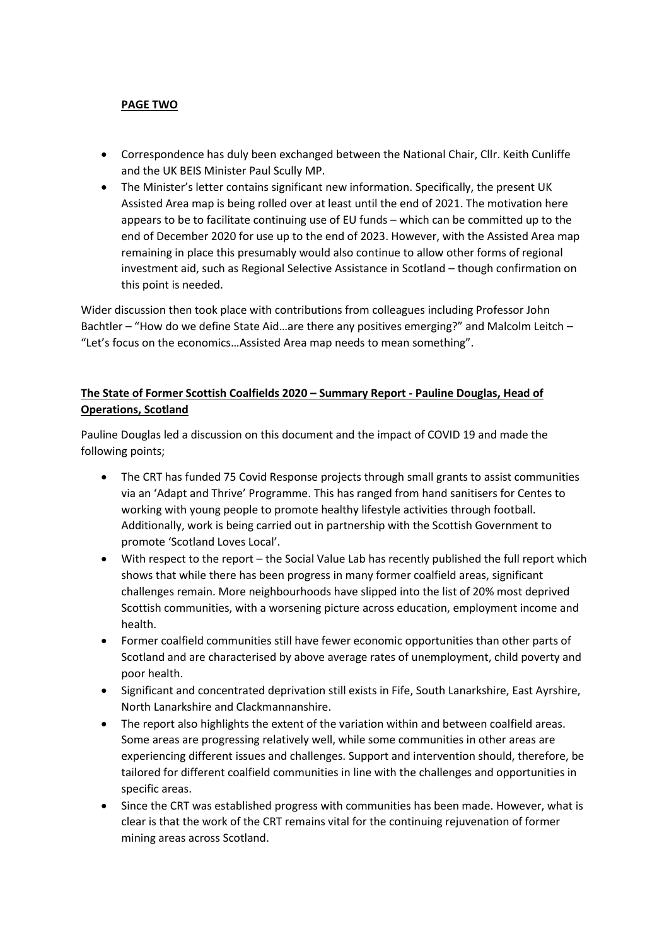### **PAGE TWO**

- Correspondence has duly been exchanged between the National Chair, Cllr. Keith Cunliffe and the UK BEIS Minister Paul Scully MP.
- The Minister's letter contains significant new information. Specifically, the present UK Assisted Area map is being rolled over at least until the end of 2021. The motivation here appears to be to facilitate continuing use of EU funds – which can be committed up to the end of December 2020 for use up to the end of 2023. However, with the Assisted Area map remaining in place this presumably would also continue to allow other forms of regional investment aid, such as Regional Selective Assistance in Scotland – though confirmation on this point is needed.

Wider discussion then took place with contributions from colleagues including Professor John Bachtler – "How do we define State Aid…are there any positives emerging?" and Malcolm Leitch – "Let's focus on the economics…Assisted Area map needs to mean something".

## **The State of Former Scottish Coalfields 2020 – Summary Report - Pauline Douglas, Head of Operations, Scotland**

Pauline Douglas led a discussion on this document and the impact of COVID 19 and made the following points;

- The CRT has funded 75 Covid Response projects through small grants to assist communities via an 'Adapt and Thrive' Programme. This has ranged from hand sanitisers for Centes to working with young people to promote healthy lifestyle activities through football. Additionally, work is being carried out in partnership with the Scottish Government to promote 'Scotland Loves Local'.
- With respect to the report the Social Value Lab has recently published the full report which shows that while there has been progress in many former coalfield areas, significant challenges remain. More neighbourhoods have slipped into the list of 20% most deprived Scottish communities, with a worsening picture across education, employment income and health.
- Former coalfield communities still have fewer economic opportunities than other parts of Scotland and are characterised by above average rates of unemployment, child poverty and poor health.
- Significant and concentrated deprivation still exists in Fife, South Lanarkshire, East Ayrshire, North Lanarkshire and Clackmannanshire.
- The report also highlights the extent of the variation within and between coalfield areas. Some areas are progressing relatively well, while some communities in other areas are experiencing different issues and challenges. Support and intervention should, therefore, be tailored for different coalfield communities in line with the challenges and opportunities in specific areas.
- Since the CRT was established progress with communities has been made. However, what is clear is that the work of the CRT remains vital for the continuing rejuvenation of former mining areas across Scotland.